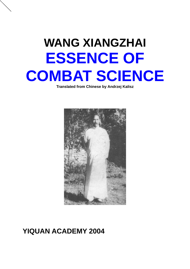# **WANG XIANGZHAI ESSENCE OF COMBAT SCIENCE**

**Translated from Chinese by Andrzej Kalisz**



# **YIQUAN ACADEMY 2004**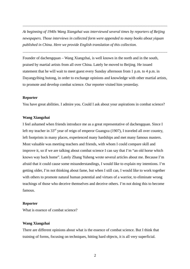.......................................................................................................................................................

*At beginning of 1940s Wang Xiangzhai was interviewed several times by reporters of Beijing newspapers. Those interviews in collected form were appended to many books about yiquan published in China. Here we provide English translation of this collection.*

.......................................................................................................................................................

Founder of dachengquan – Wang Xiangzhai, is well known in the north and in the south, praised by martial artists from all over China. Lately he moved to Beijing. He issued statement that he will wait to meet guest every Sunday afternoon from 1 p.m. to 4 p.m. in Dayangyibing hutong, in order to exchange opinions and knowledge with other martial artists, to promote and develop combat science. Our reporter visited him yesterday.

# **Reporter**

You have great abilities. I admire you. Could I ask about your aspirations in combat science?

## **Wang Xiangzhai**

I feel ashamed when friends introduce me as a great representative of dachengquan. Since I left my teacher in 33<sup>rd</sup> year of reign of emperor Guangxu (1907), I traveled all over country, left footprints in many places, experienced many hardships and met many famous masters. Most valuable was meeting teachers and friends, with whom I could compare skill and improve it, so if we are talking about combat science I can say that I'm "an old horse which knows way back home". Lately Zhang Yuheng wrote several articles about me. Because I'm afraid that it could cause some misunderstandings, I would like to explain my intentions. I'm getting older, I'm not thinking about fame, but when I still can, I would like to work together with others to promote natural human potential and virtues of a warrior, to eliminate wrong teachings of those who deceive themselves and deceive others. I'm not doing this to become famous.

#### **Reporter**

What is essence of combat science?

#### **Wang Xiangzhai**

There are different opinions about what is the essence of combat science. But I think that training of forms, focusing on techniques, hitting hard objects, it is all very superficial.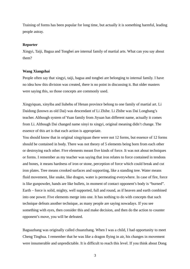Training of forms has been popular for long time, but actually it is something harmful, leading people astray.

## **Reporter**

Xingyi, Taiji, Bagua and Tongbei are internal family of martial arts. What can you say about them?

## **Wang Xiangzhai**

People often say that xingyi, taiji, bagua and tongbei are belonging to internal family. I have no idea how this division was created, there is no point in discussing it. But older masters were saying this, so those concepts are commonly used.

Xingyiquan, xinyiba and liuhebu of Henan province belong to one family of martial art. Li Daidong (known as old Dai) was descendant of Li Zhihe. Li Zhihe was Dai Longbang's teacher. Although system of Yuan family from Jiyuan has different name, actually it comes from Li. Although Dai changed name xinyi to xingyi, original meaning didn't change. The essence of this art is that each action is appropriate.

You should know that in original xingyiquan there were not 12 forms, but essence of 12 forms should be contained in body. There was not theory of 5 elements being born from each other or destroying each other. Five elements meant five kinds of force. It was not about techniques or forms. I remember as my teacher was saying that iron relates to force contained in tendons and bones, it means hardness of iron or stone, perception of force which could break and cut iron plates. Tree means crooked surfaces and supporting, like a standing tree. Water means fluid movement, like snake, like dragon, water is permeating everywhere. In case of fire, force is like gunpowder, hands are like bullets, in moment of contact opponent's body is "burned". Earth – force is solid, mighty, well supported, full and round, as if heaven and earth combined into one power. Five elements merge into one. It has nothing to do with concepts that such technique defeats another technique, as many people are saying nowadays. If you see something with eyes, then consider this and make decision, and then do the action to counter opponent's move, you will be defeated.

Baguazhang was originally called chuanzhang. When I was a child, I had opportunity to meet Cheng Tinghua. I remember that he was like a dragon flying in air, his changes in movement were innumerable and unpredictable. It is difficult to reach this level. If you think about Dong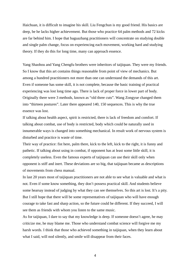Haichuan, it is difficult to imagine his skill. Liu Fengchun is my good friend. His basics are deep, be he lacks higher achievement. But those who practice 64 palm methods and 72 kicks are far behind him. I hope that baguazhang practitioners will concentrate on studying double and single palm change, focus on experiencing each movement, working hard and studying theory. If they do this for long time, many can approach essence.

Yang Shaohou and Yang Chengfu brothers were inheritors of taijiquan. They were my friends. So I know that this art contains things reasonable from point of view of mechanics. But among a hundred practitioners not more than one can understand the demands of this art. Even if someone has some skill, it is not complete, because the basic training of practical experiencing was lost long time ago. There is lack of proper force in lower part of body. Originally there were 3 methods, known as "old three cuts". Wang Zongyue changed them into "thirteen postures". Later there appeared 140, 150 sequences. This is why the true essence was lost.

If talking about health aspect, spirit is restricted, there is lack of freedom and comfort. If talking about combat, use of body is restricted, body which could be naturally used in innumerable ways is changed into something mechanical. In result work of nervous system is disturbed and practice is waste of time.

Their way of practice: fist here, palm there, kick to the left, kick to the right, it is funny and pathetic. If talking about using in combat, if opponent has at least some little skill, it is completely useless. Even the famous experts of taijiquan can use their skill only when opponent is stiff and inert. These deviations are so big, that taijiquan became as descriptions of movements from chess manual.

In last 20 years most of taijiquan practitioners are not able to see what is valuable and what is not. Even if some know something, they don't possess practical skill. And students believe some hearsay instead of judging by what they can see themselves. So this art is lost. It's a pity. But I still hope that there will be some representatives of taijiquan who will have enough courage to take fast and sharp action, so the future could be different. If they succeed, I will see them as friends with whom you listen to the same music.

As for taijiquan, I dare to say that my knowledge is deep. If someone doesn't agree, he may criticize me, he may blame me. Those who understand combat science will forgive me my harsh words. I think that those who achieved something in taijiquan, when they learn about what I said, will nod silently, and smile will disappear from their faces.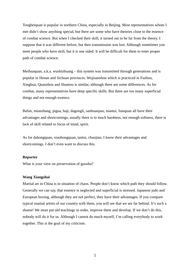Tongbeiquan is popular in northern China, especially in Beijing. Most representatives whom I met didn't show anything special, but there are some who have theories close to the essence of combat science. But when I checked their skill, it turned out to be far from the theory. I suppose that it was different before, but then transmission was lost. Although sometimes you meet people who have skill, but it is one sided. It will be difficult for them to enter proper path of combat science.

Meihuaquan, a.k.a. wushizhuang – this system was transmitted through generations and is popular in Henan and Sichuan provinces. Wujisanshou which is practiced in Fuzhou, Xinghua, Quanzhou and Shantou is similar, although there are some differences. As for combat, many representatives have deep specific skills. But there are too many superficial things and not enough essence.

Bafan, mianzhang, pigua, baji, dagongli, sanhuanpao, niantui, lianquan all have their advantages and shortcomings, usually there is to much hardness, not enough softness, there is lack of skill related to focus of mind, spirit.

As for dahongquan, xiaohongquan, tantui, chuojiao, I know their advantages and shortcomings. I don't even want to discuss this.

#### **Reporter**

What is your view on preservation of guoshu?

#### **Wang Xiangzhai**

Martial art in China is in situation of chaos. People don't know which path they should follow. Generally we can say, that essence is neglected and superficial is stressed. Japanese judo and European boxing, although they are not perfect, they have their advantages. If you compare typical martial artists of our country with them, you will see that we are far behind. It's such a shame! We must put old teachings in order, improve them and develop. If we don't do this, nobody will do it for us. Although I cannot do much myself, I'm calling everybody to work together. This is the goal of my criticism.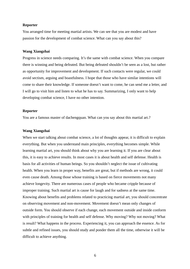## **Reporter**

You arranged time for meeting martial artists. We can see that you are modest and have passion for the development of combat science. What can you say about this?

## **Wang Xiangzhai**

Progress in science needs comparing. It's the same with combat science. When you compare there is winning and being defeated. But being defeated shouldn't be seen as a lost, but rather as opportunity for improvement and development. If such contacts were regular, we could avoid sectism, arguing and boastfulness. I hope that those who have similar intentions will come to share their knowledge. If someone doesn't want to come, he can send me a letter, and I will go to visit him and listen to what he has to say. Summarizing, I only want to help developing combat science, I have no other intention.

#### **Reporter**

You are a famous master of dachengquan. What can you say about this martial art.?

#### **Wang Xiangzhai**

When we start talking about combat science, a lot of thoughts appear, it is difficult to explain everything. But when you understand main principles, everything becomes simple. While learning martial art, you should think about why you are learning it. If you are clear about this, it is easy to achieve results. In most cases it is about health and self defense. Health is basis for all activities of human beings. So you shouldn't neglect the issue of cultivating health. When you learn in proper way, benefits are great, but if methods are wrong, it could even cause death. Among those whose training is based on fierce movements not many achieve longevity. There are numerous cases of people who became cripple because of improper training. Such martial art is cause for laugh and for sadness at the same time. Knowing about benefits and problems related to practicing martial art, you should concentrate on observing movement and non-movement. Movement doesn't mean only changes of outside form. You should observe if each change, each movement outside and inside conform with principles of training for health and self defense. Why moving? Why not moving? What is result? What happens in the process. Experiencing it, you can approach the essence. As for subtle and refined issues, you should study and ponder them all the time, otherwise it will be difficult to achieve anything.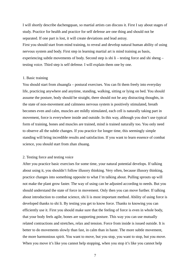I will shortly describe dachengquan, so martial artists can discuss it. First I say about stages of study. Practice for health and practice for self defense are one thing and should not be separated. If one part is lost, it will create deviations and lead astray. First you should start from mind training, to reveal and develop natural human ability of using nervous system and body. First step in learning martial art is mind training as basis, experiencing subtle movements of body. Second step is shi  $\mathrm{li}$  – testing force and shi sheng – testing voice. Third step is self defense. I will explain them one by one.

#### 1. Basic training

You should start from zhuangfa – postural exercises. You can fit them freely into everyday life, practicing anywhere and anytime, standing, walking, sitting or lying on bed. You should assume the posture, body should be straight, there should not be any distracting thoughts, in the state of non-movement and calmness nervous system is positively stimulated, breath becomes even and calm, muscles are mildly stimulated, each cell is naturally taking part in movement, force is everywhere inside and outside. In this way, although you don't use typical form of training, bones and muscles are trained, mind is trained naturally too. You only need to observe all the subtle changes. If you practice for longer time, this seemingly simple standing will bring incredible results and satisfaction. If you want to learn essence of combat science, you should start from zhan zhuang.

## 2. Testing force and testing voice

After you practice basic exercises for some time, your natural potential develops. If talking about using it, you shouldn't follow illusory thinking. Very often, because illusory thinking, practice changes into something opposite to what I'm talking about. Pulling sprouts up will not make the plant grow faster. The way of using can be adjusted according to needs. But you should understand the state of force in movement. Only then you can move further. If talking about introduction to combat science, shi li is most important method. Ability of using force is developed thanks to shi li. By testing you get to know force. Thanks to knowing you can efficiently use it. First you should make sure that the feeling of force is even in whole body, that your body feels agile, bones are supporting posture. This way you can use mutually related contractions and stretches, relax and tension. Force from inside is issued outside. It is better to do movements slowly than fast, in calm than in haste. The more subtle movement, the more harmonious spirit. You want to move, but you stop, you want to stop, but you move. When you move it's like you cannot help stopping, when you stop it's like you cannot help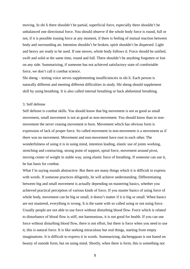moving. In shi li there shouldn't be partial, superficial force, especially there shouldn't be unbalanced one directional force. You should observe if the whole body force is round, full or not, if it is possible issuing force at any moment, if there is feeling of mutual reaction between body and surrounding air. Intention shouldn't be broken, spirit shouldn't be dispersed. Light and heavy are ready to be used. If one moves, whole body follows it. Force should be unified, swift and solid at the same time, round and full. There shouldn't be anything forgotten or lost on any side. Summarizing, if someone has not achieved satisfactory state of comfortable force, we don't call it combat science.

Shi sheng – testing voice serves supplementing insufficiencies in shi li. Each person is naturally different and meeting different difficulties in study. Shi sheng should supplement skill by using breathing. It is also called internal breathing or back abdominal breathing.

# 3. Self defense

Self defense is combat skills. You should know that big movement is not as good as small movement, small movement is not as good as non-movement. You should know than in nonmovement the never ceasing movement is born. Movement which has obvious form is expression of lack of proper force. So called movement in non-movement is a movement as if there was no movement. Movement and non-movement have root in each other. The wonderfulness of using it is in using mind, intention leading, elastic use of joints working, stretching and contracting, strong point of support, spiral force, movement around pivot, moving center of weight in stable way, using elastic force of breathing. If someone can use it, he has basis for combat.

What I'm saying sounds abstractive. But there are many things which it is difficult to express with words. If someone practices diligently, he will achieve understanding. Differentiating between big and small movement is actually depending on mastering basics, whether you achieved practical perception of various kinds of force. If you master basics of using force of whole body, movement can be big or small, it doesn't matter if it is big or small. When basics are not mastered, everything is wrong. It is the same with so called using or not using force. Usually people are not able to use force without disturbing blood flow. Force which is related to disturbance of blood flow is stiff, not harmonious, it is not good for health. If you can use force without disturbing blood flow, there is not effort, but there is force when you need to use it, this is natural force. It is like seeking miraculous but real things, starting from empty imaginations. It is difficult to express it in words. Summarizing, dachengquan is not based on beauty of outside form, but on using mind. Shortly, when there is form, this is something not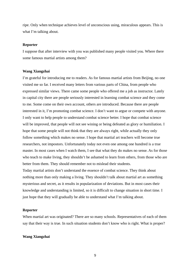ripe. Only when technique achieves level of unconscious using, miraculous appears. This is what I'm talking about.

## **Reporter**

I suppose that after interview with you was published many people visited you. Where there some famous martial artists among them?

## **Wang Xiangzhai**

I'm grateful for introducing me to readers. As for famous martial artists from Beijing, no one visited me so far. I received many letters from various parts of China, from people who expressed similar views. There came some people who offered me a job as instructor. Lately in capital city there are people seriously interested in learning combat science and they come to me. Some come on their own account, others are introduced. Because there are people interested in it, I'm promoting combat science. I don't want to argue or compete with anyone. I only want to help people to understand combat science better. I hope that combat science will be improved, that people will not see wining or being defeated as glory or humiliation. I hope that some people will not think that they are always right, while actually they only follow something which makes no sense. I hope that martial art teachers will become true researchers, not impostors. Unfortunately today not even one among one hundred is a true master. In most cases when I watch them, I see that what they do makes no sense. As for those who teach to make living, they shouldn't be ashamed to learn from others, from those who are better from them. They should remember not to mislead their students.

Today martial artists don't understand the essence of combat science. They think about nothing more than only making a living. They shouldn't talk about martial art as something mysterious and secret, as it results in popularization of deviations. But in most cases their knowledge and understanding is limited, so it is difficult to change situation in short time. I just hope that they will gradually be able to understand what I'm talking about.

# **Reporter**

When martial art was originated? There are so many schools. Representatives of each of them say that their way is true. In such situation students don't know who is right. What is proper?

#### **Wang Xiangzhai**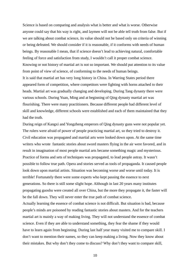Science is based on comparing and analysis what is better and what is worse. Otherwise anyone could say that his way is right, and laymen will not be able tell truth from false. But if we are talking about combat science, its value should not be based only on criteria of winning or being defeated. We should consider if it is reasonable, if it conforms with needs of human beings. By reasonable I mean, that if science doesn't lead to achieving natural, comfortable feeling of force and satisfaction from study, I wouldn't call it proper combat science. Knowing or not history of martial art is not so important. We should put attention to its value from point of view of science, of conforming to the needs of human beings. It is said that martial art has very long history in China. In Warring States period there appeared form of competition, where competitors were fighting with horns attached to their heads. Martial art was gradually changing and developing. During Tang dynasty there were various schools. During Yuan, Ming and at beginning of Qing dynasty martial art was flourishing. There were many practitioners. Because different people had different level of skill and knowledge, different schools were established and each of them maintained that they had the truth.

During reign of Kangxi and Yongzheng emperors of Qing dynasty guns were not popular yet. The rulers were afraid of power of people practicing martial art, so they tried to destroy it. Civil education was propagated and martial arts were looked down upon. At the same time writers who wrote fantastic stories about sword masters flying in the air were favored, and in result in imagination of most people martial arts became something magic and mysterious. Practice of forms and sets of techniques was propagated, to lead people astray. It wasn't possible to follow true path. Opera and stories served as tools of propaganda. It caused people look down upon martial artists. Situation was becoming worse and worse until today. It is terrible! Fortunately there were some experts who kept passing the essence to next generations. So there is still some slight hope. Although in last 20 years many institutes propagating guoshu were created all over China, but the more they propagate it, the faster will be the fall down. They will never enter the true path of combat science.

Actually learning the essence of combat science is not difficult. But situation is bad, because people's minds are poisoned by reading fantastic stories about masters. And for the teachers martial art is mainly a way of making living. They will not understand the essence of combat science. Even if they are able to understand something, they fear the shame if they would have to learn again from beginning. During last half year many visited me to compare skill. I don't want to mention their names, so they can keep making a living. Now they know about their mistakes. But why don't they come to discuss? Why don't they want to compare skill,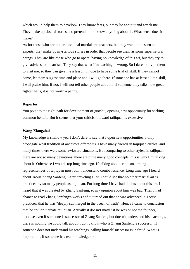which would help them to develop? They know facts, but they lie about it and attack me. They make up absurd stories and pretend not to know anything about it. What sense does it make?

As for those who are not professional martial arts teachers, but they want to be seen as experts, they make up mysterious stories in order that people see them as some supernatural beings. They are like those who go to opera, having no knowledge of this art, but they try to give advices to the artists. They say that what I'm teaching is wrong. So I dare to invite them to visit me, so they can give me a lesson. I hope to have some trial of skill. If they cannot come, let them suggest time and place and I will go there. If someone has at least a little skill, I will praise him. If not, I will not tell other people about it. If someone only talks how great fighter he is, it is not worth a penny.

### **Reporter**

You point to the right path for development of guoshu, opening new opportunity for seeking common benefit. But it seems that your criticism toward taijiquan is excessive.

#### **Wang Xiangzhai**

My knowledge is shallow yet. I don't dare to say that I open new opportunities. I only propagate what tradition of ancestors offered us. I have many friends in taijiquan circles, and many times there were some awkward situations. But comparing to other styles, in taijiquan there are not so many deviations, there are quite many good concepts, this is why I'm talking about it. Otherwise I would stop long time ago. If talking about criticism, among representatives of taijiquan most don't understand combat science. Long time ago I heard about Taoist Zhang Sanfeng. Later, traveling a lot, I could see that no other martial art is practiced by so many people as taijiquan. For long time I have had doubts about this art. I heard that it was created by Zhang Sanfeng, so my opinion about him was bad. Then I had chance to read Zhang Sanfeng's works and it turned out that he was advanced in Taoist practices, that he was "deeply submerged in the ocean of truth". Hence I came to conclusion that he couldn't create taijiquan. Actually it doesn't matter if he was or not the founder, because even if someone is successor of Zhang Sanfeng but doesn't understand his teachings, there is nothing we could talk about. I don't know who is Zhang Sanfeng's successor. If someone does not understand his teachings, calling himself successor is a fraud. What is important is if someone has real knowledge or not.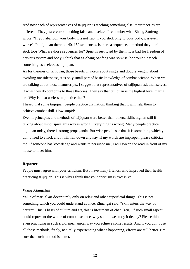And now each of representatives of taijiquan is teaching something else, their theories are different. They just create something false and useless. I remember what Zhang Sanfeng wrote: "If you abandon your body, it is not Tao, if you stick only to your body, it is even worse". In taijiquan there is 140, 150 sequences. Is there a sequence, a method they don't stick too? What are those sequences for? Spirit is restricted by them. It is bad for freedom of nervous system and body. I think that as Zhang Sanfeng was so wise, he wouldn't teach something as useless as taijiquan.

As for theories of taijiquan, those beautiful words about single and double weight, about avoiding onesidessness, it is only small part of basic knowledge of combat science. When we are talking about those manuscripts, I suggest that representatives of taijiquan ask themselves, if what they do conforms to those theories. They say that taijiquan is the highest level martial art. Why is it so useless in practice then?

I heard that some taijiquan people practice divination, thinking that it will help them to achieve combat skill. How stupid!

Even if principles and methods of taijiquan were better than others, skills higher, still if talking about mind, spirit, this way is wrong. Everything is wrong. Many people practice taijiquan today, there is strong propaganda. But wise people see that it is something which you don't need to attack and it will fall down anyway. If my words are improper, please criticize me. If someone has knowledge and wants to persuade me, I will sweep the road in front of my house to meet him.

#### **Reporter**

People must agree with your criticism. But I have many friends, who improved their health practicing taijiquan. This is why I think that your criticism is excessive.

# **Wang Xiangzhai**

Value of martial art doesn't rely only on relax and other superficial things. This is not something which you could understand at once. Zhuangzi said: "skill enters the way of nature". This is basis of culture and art, this is lifestream of chan (zen). If such small aspect could represent the whole of combat science, why should we study it deeply? Please think: even practicing in such rigid, mechanical way you achieve some results. And if you don't use all those methods, freely, naturally experiencing what's happening, effects are still better. I'm sure that such method is better.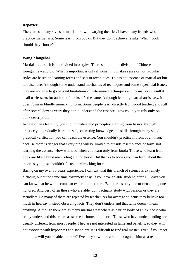#### **Reporter**

There are so many styles of martial art, with varying theories. I have many friends who practice martial arts. Some learn from books. But they don't achieve results. Which book should they choose?

#### **Wang Xiangzhai**

Martial art as such is not divided into styles. There shouldn't be division of Chinese and foreign, new and old. What is important is only if something makes sense or not. Popular styles are based on learning forms and sets of techniques. This is not essence of martial art but its false face. Although some understand mechanics of techniques and some superficial issues, they are not able to go beyond limitations of determined techniques and forms, so in result it is all useless. As for authors of books, it's the same. Although learning martial art is easy, it doesn't mean blindly mimicking form. Some people learn directly from good teacher, and still after several dozens years they don't understand the essence. How could you rely only on book description.

In case of any learning, you should understand principles, starting from basics, through practice you gradually learn the subject, testing knowledge and skill, through many sided practical verification you can reach the essence. You shouldn't practice in front of a mirror, because there is danger that everything will be limited to outside resemblance of form, not learning the essence. How will it be when you learn only from book? Those who learn from book are like a blind man riding a blind horse. But thanks to books you can learn about the theories, you just shouldn't focus on mimicking form.

Basing on my over 30 years experience, I can say, that this branch of science is extremely difficult, but at the same time extremely easy. If you have an able student, after 100 days you can know that he will become an expert in the future. But there is only one or two among one hundred. And very often those who are able, don't actually study with passion or they are swindlers. So many of them are rejected by teacher. As for average students they believe too much in hearsay, instead observing facts. They don't understand that fame doesn't mean anything. Although there are as many martial art teachers as hair on body of an ox, those who really understand this art are as scarce as horns of unicorn. Those who have understanding are usually different from most people. They are not interested in fame and benefits, so they will not associate with hypocrites and swindlers. It is difficult to find real master. Even if you meet him, how will you be able to know? Even if you will be able to recognize him as a real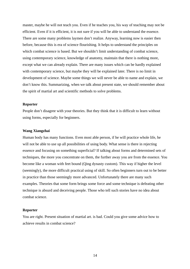master, maybe he will not teach you. Even if he teaches you, his way of teaching may not be efficient. Even if it is efficient, it is not sure if you will be able to understand the essence. There are some many problems laymen don't realize. Anyway, learning now is easier then before, because this is era of science flourishing. It helps to understand the principles on which combat science is based. But we shouldn't limit understanding of combat science, using contemporary science, knowledge of anatomy, maintain that there is nothing more, except what we can already explain. There are many issues which can be hardly explained with contemporary science, but maybe they will be explained later. There is no limit in development of science. Maybe some things we will never be able to name and explain, we don't know this. Summarizing, when we talk about present state, we should remember about the spirit of martial art and scientific methods to solve problems.

#### **Reporter**

People don't disagree with your theories. But they think that it is difficult to learn without using forms, especially for beginners.

#### **Wang Xiangzhai**

Human body has many functions. Even most able person, if he will practice whole life, he will not be able to use up all possibilities of using body. What sense is there in rejecting essence and focusing on something superficial? If talking about forms and determined sets of techniques, the more you concentrate on them, the further away you are from the essence. You become like a woman with feet bound (Qing dynasty custom). This way if higher the level (seemingly), the more difficult practical using of skill. So often beginners turn out to be better in practice than those seemingly more advanced. Unfortunately there are many such examples. Theories that some form brings some force and some technique is defeating other technique is absurd and deceiving people. Those who tell such stories have no idea about combat science.

#### **Reporter**

You are right. Present situation of martial art. is bad. Could you give some advice how to achieve results in combat science?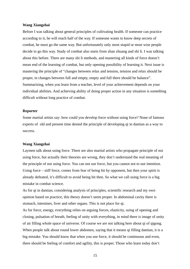#### **Wang Xiangzhai**

Before I was talking about general principles of cultivating health. If someone can practice according to it, he will reach half of the way. If someone wants to know deep secrets of combat, he must go the same way. But unfortunately only most stupid or most wise people decide to go this way. Study of combat also starts from zhan zhuang and shi li. I was talking about this before. There are many shi li methods, and mastering all kinds of force doesn't mean end of the learning of combat, but only opening possibility of learning it. Next issue is mastering the principle of "changes between relax and tension, tension and relax should be proper, in changes between full and empty, empty and full there should be balance". Summarizing, when you learn from a teacher, level of your achievement depends on your individual abilities. And achieving ability of doing proper action in any situation is something difficult without long practice of combat.

#### **Reporter**

Some martial artists say: how could you develop force without using force? None of famous experts of old and present time denied the principle of developing qi in dantian as a way to success.

#### **Wang Xiangzhai**

Laymen talk about using force. There are also martial artists who propagate principle of not using force, but actually their theories are wrong, they don't understand the real meaning of the principle of not using force. You can not use force, but you cannot not to use intention. Using force – stiff force, comes from fear of being hit by opponent, but then your spirit is already defeated, it's difficult to avoid being hit then. So what we call using force is a big mistake in combat science.

As for qi in dantian, considering analysis of principles, scientific research and my own opinion based on practice, this theory doesn't seem proper. In abdominal cavity there is stomach, intestines, liver and other organs. This is not place for qi.

As for force, energy, everything relies on arguing forces, elasticity, using of opening and closing, pulsation of breath, feeling of unity with everything, in mind there is image of unity of air filling whole space of universe. Of course we are not talking here about qi of qigong. When people talk about round lower abdomen, saying that it means qi filling dantian, it is a big mistake. You should know that when you use force, it should be continuous and even, there should be feeling of comfort and agility, this is proper. Those who learn today don't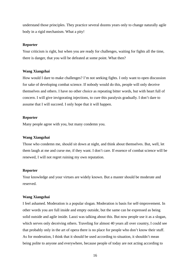understand those principles. They practice several dozens years only to change naturally agile body in a rigid mechanism. What a pity!

#### **Reporter**

Your criticism is right, but when you are ready for challenges, waiting for fights all the time, there is danger, that you will be defeated at some point. What then?

## **Wang Xiangzhai**

How would I dare to make challenges? I'm not seeking fights. I only want to open discussion for sake of developing combat science. If nobody would do this, people will only deceive themselves and others. I have no other choice as repeating bitter words, but with heart full of concern. I will give invigorating injections, to cure this paralysis gradually. I don't dare to assume that I will succeed. I only hope that it will happen.

#### **Reporter**

Many people agree with you, but many condemn you.

#### **Wang Xiangzhai**

Those who condemn me, should sit down at night, and think about themselves. But, well, let them laugh at me and curse me, if they want. I don't care. If essence of combat science will be renewed, I will not regret ruining my own reputation.

#### **Reporter**

Your knowledge and your virtues are widely known. But a master should be moderate and reserved.

#### **Wang Xiangzhai**

I feel ashamed. Moderation is a popular slogan. Moderation is basis for self-improvement. In other words you are full inside and empty outside, but the same can be expressed as being solid outside and agile inside. Laozi was talking about this. But now people use it as a slogan, which serves only deceiving others. Traveling for almost 40 years all over country, I could see that probably only in the art of opera there is no place for people who don't know their stuff. As for moderation, I think that it should be used according to situation, it shouldn't mean being polite to anyone and everywhere, because people of today are not acting according to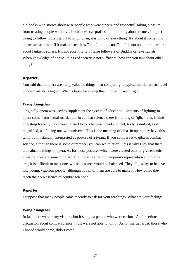old books with stories about wise people who were sincere and respectful, taking pleasure from treating people with love. I don't deserve praises, but if talking about virtues, I'm just trying to follow mule's tail. Tao is hunyuan, it is unity of everything. It's about if something makes sense or not. If it makes sense it is Tao, if not, it is not Tao. It is not about miracles or about fantastic stories. It's not eccentricity of false followers of Buddha or fake Taoists. When knowledge of normal things of society is not sufficient, how can you talk about other thing?

#### **Reporter**

You said that in opera are many valuable things, that comparing to typical martial artists, level of opera artists is higher. What is basis for saying this? It doesn't seem right.

#### **Wang Xiangzhai**

Originally opera was used to supplement the system of education. Elements of fighting in opera come from actual martial art. In combat science there is training of "qiba", this is kind of testing force. Qiba is force related to axis between head and feet, body is unified, as if magnified, as if being one with universe. This is the meaning of qiba. In opera they have this term, but mistakenly interpreted as posture of a tyrant. If you compare it to qiba in combat science, although there is some difference, you can see relation. This is why I say that there are valuable things in opera. As for those postures which were created only to give esthetic pleasure, they are something artificial, false. As for contemporary representative of martial arts, it is difficult to meet one, whose postures would be balanced. They all just try to behave like young, vigorous people, although not all of them are able to make it. How could they reach the deep essence of combat science?

#### **Reporter**

I suppose that many people came recently to ask for your teachings. What are your feelings?

#### **Wang Xiangzhai**

In fact there were many visitors, but it's all just people who were curious. As for serious discussion about combat science, most were not able to join it. As for martial artist, those who I hoped would come, didn't come.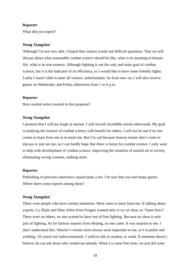## **Reporter**

What did you expect?

#### **Wang Xiangzhai**

Although I'm not very able, I hoped that visitors would ask difficult questions. That we will discuss about what reasonable combat science should be like, what is its meaning in human life, what is its true essence. Although fighting is not the only and main goal of combat science, but it is the indicator of its efficiency, so I would like to have some friendly fights. Lately I wasn't able to meet all visitors, unfortunately. So from now on, I will also receive guests on Wednesday and Friday afternoons from 1 to 6 p.m.

#### **Reporter**

How martial artists reacted to this proposal?

#### **Wang Xiangzhai**

I promise that I will not laugh at anyone, I will not tell incredible stories afterwards. My goal is studying the essence of combat science with benefit for others. I will not be sad if no one comes to learn from me or to teach me. But I'm sad because famous master don't come to discuss or just see me, so I can hardly hope that there is future for combat science. I only want to help with development of combat science, improving the situation of martial art in society, eliminating wrong customs, nothing more.

#### **Reporter**

Publishing of previous interviews caused quite a stir. I'm sure that you had many guests. Where there some experts among them?

#### **Wang Xiangzhai**

There were people who have similar intentions. Most came to learn from me. If talking about experts, Lu Zhijie and Shao Zefen from Fengtai wanted only to try tui shou, to "listen force". There were no others, no one wanted to have test of free fighting. Because tui shou is only part of fighting. As for famous masters from Beijing, no one came. It was surprise to me. I don't understand this. Warrior's virtues were always most important to me, so I'm polite and yielding. Of course not indiscriminately. I yield to old, to modest, to weak. If someone doesn't believe, he can ask those who visited me already. When Lu came first time, we just did some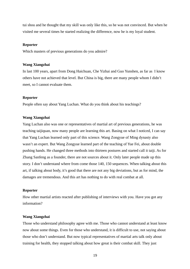tui shou and he thought that my skill was only like this, so he was not convinced. But when he visited me several times he started realizing the difference, now he is my loyal student.

#### **Reporter**

Which masters of previous generations do you admire?

#### **Wang Xiangzhai**

In last 100 years, apart from Dong Haichuan, Che Yizhai and Guo Yunshen, as far as I know others have not achieved that level. But China is big, there are many people whom I didn't meet, so I cannot evaluate them.

#### **Reporter**

People often say about Yang Luchan. What do you think about his teachings?

#### **Wang Xiangzhai**

Yang Luchan also was one or representatives of martial art of previous generations, he was teaching taijiquan, now many people are learning this art. Basing on what I noticed, I can say that Yang Luchan learned only part of this science. Wang Zongyue of Ming dynasty also wasn't an expert. But Wang Zongyue learned part of the teaching of Yue Fei, about double pushing hands. He changed three methods into thirteen postures and started call it taiji. As for Zhang Sanfeng as a founder, there are not sources about it. Only later people made up this story. I don't understand where from come those 140, 150 sequences. When talking about this art, if talking about body, it's good that there are not any big deviations, but as for mind, the damages are tremendous. And this art has nothing to do with real combat at all.

#### **Reporter**

How other martial artists reacted after publishing of interviews with you. Have you got any information?

#### **Wang Xiangzhai**

Those who understand philosophy agree with me. Those who cannot understand at least know now about some things. Even for those who understand, it is difficult to use, not saying about those who don't understand. But now typical representatives of martial arts talk only about training for health, they stopped talking about how great is their combat skill. They just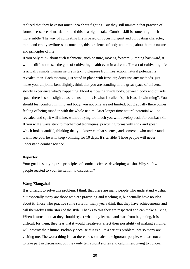realized that they have not much idea about fighting. But they still maintain that practice of forms is essence of martial art, and this is a big mistake. Combat skill is something much more subtle. The way of cultivating life is based on focusing spirit and cultivating character, mind and empty swiftness become one, this is science of body and mind, about human nature and principles of life.

If you only think about such technique, such posture, moving forward, jumping backward, it will be difficult to see the gate of cultivating health even in a dream. The art of cultivating life is actually simple, human nature is taking pleasure from free action, natural potential is revealed then. Each morning just stand in place with fresh air, don't use any methods, just make your all joints bent slightly, think that you are standing in the great space of universe, slowly experience what's happening, blood is flowing inside body, between body and outside space there is some slight, elastic tension, this is what is called "spirit is as if swimming". You should feel comfort in mind and body, you not only are not limited, but gradually there comes feeling of being tuned in with the whole nature. After longer time natural potential will be revealed and spirit will shine, without trying too much you will develop basis for combat skill. If you will always stick to mechanical techniques, practicing forms with stick and spear, which look beautiful, thinking that you know combat science, and someone who understands it will see you, he will keep vomiting for 10 days. It's terrible. Those people will never understand combat science.

#### **Reporter**

Your goal is studying true principles of combat science, developing wushu. Why so few people reacted to your invitation to discussion?

#### **Wang Xiangzhai**

It is difficult to solve this problem. I think that there are many people who understand wushu, but especially many are those who are practicing and teaching it, but actually have no idea about it. Those who practice some style for many years think that they have achievements and call themselves inheritors of the style. Thanks to this they are respected and can make a living. When it turns out that they should reject what they learned and start from beginning, it is difficult for them, they fear that it would negatively affect their possibility of making a living, will destroy their future. Probably because this is quite a serious problem, not so many are visiting me. The worst thing is that there are some absolute ignorant people, who are not able to take part in discussion, but they only tell absurd stories and calumnies, trying to conceal